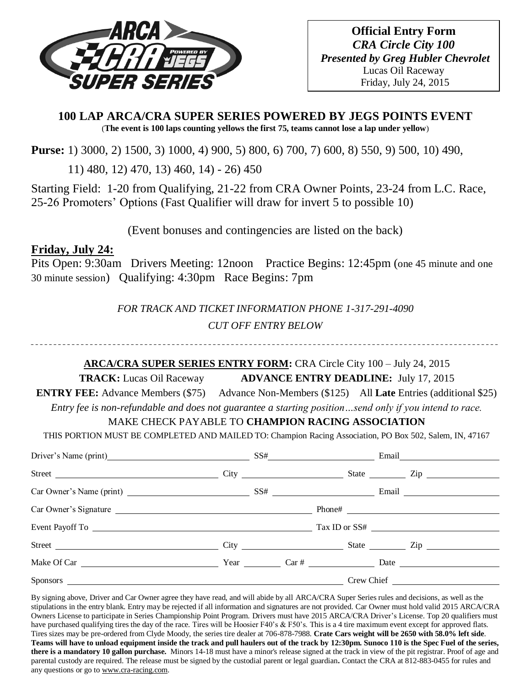

**Official Entry Form** *CRA Circle City 100 Presented by Greg Hubler Chevrolet* Lucas Oil Raceway Friday, July 24, 2015

**100 LAP ARCA/CRA SUPER SERIES POWERED BY JEGS POINTS EVENT** (**The event is 100 laps counting yellows the first 75, teams cannot lose a lap under yellow**)

**Purse:** 1) 3000, 2) 1500, 3) 1000, 4) 900, 5) 800, 6) 700, 7) 600, 8) 550, 9) 500, 10) 490,

11) 480, 12) 470, 13) 460, 14) - 26) 450

Starting Field: 1-20 from Qualifying, 21-22 from CRA Owner Points, 23-24 from L.C. Race, 25-26 Promoters' Options (Fast Qualifier will draw for invert 5 to possible 10)

(Event bonuses and contingencies are listed on the back)

# **Friday, July 24:**

Pits Open: 9:30am Drivers Meeting: 12noon Practice Begins: 12:45pm (one 45 minute and one 30 minute session) Qualifying: 4:30pm Race Begins: 7pm

> *FOR TRACK AND TICKET INFORMATION PHONE 1-317-291-4090 CUT OFF ENTRY BELOW*

## **ARCA/CRA SUPER SERIES ENTRY FORM:** CRA Circle City 100 – July 24, 2015

**TRACK:** Lucas Oil Raceway **ADVANCE ENTRY DEADLINE:** July 17, 2015

**ENTRY FEE:** Advance Members (\$75) Advance Non-Members (\$125) All **Late** Entries (additional \$25)

*Entry fee is non-refundable and does not guarantee a starting position…send only if you intend to race.*

## MAKE CHECK PAYABLE TO **CHAMPION RACING ASSOCIATION**

THIS PORTION MUST BE COMPLETED AND MAILED TO: Champion Racing Association, PO Box 502, Salem, IN, 47167

| Driver's Name (print) SS# Email Email       |  |  |  |  |
|---------------------------------------------|--|--|--|--|
|                                             |  |  |  |  |
|                                             |  |  |  |  |
|                                             |  |  |  |  |
|                                             |  |  |  |  |
| Street City City City State City State City |  |  |  |  |
|                                             |  |  |  |  |
|                                             |  |  |  |  |

By signing above, Driver and Car Owner agree they have read, and will abide by all ARCA/CRA Super Series rules and decisions, as well as the stipulations in the entry blank. Entry may be rejected if all information and signatures are not provided. Car Owner must hold valid 2015 ARCA/CRA Owners License to participate in Series Championship Point Program. Drivers must have 2015 ARCA/CRA Driver's License. Top 20 qualifiers must have purchased qualifying tires the day of the race. Tires will be Hoosier F40's & F50's. This is a 4 tire maximum event except for approved flats. Tires sizes may be pre-ordered from Clyde Moody, the series tire dealer at 706-878-7988. **Crate Cars weight will be 2650 with 58.0% left side**. **Teams will have to unload equipment inside the track and pull haulers out of the track by 12:30pm. Sunoco 110 is the Spec Fuel of the series, there is a mandatory 10 gallon purchase.** Minors 14-18 must have a minor's release signed at the track in view of the pit registrar. Proof of age and parental custody are required. The release must be signed by the custodial parent or legal guardian**.** Contact the CRA at 812-883-0455 for rules and any questions or go t[o www.cra-racing.com.](http://www.cra-racing.com/)